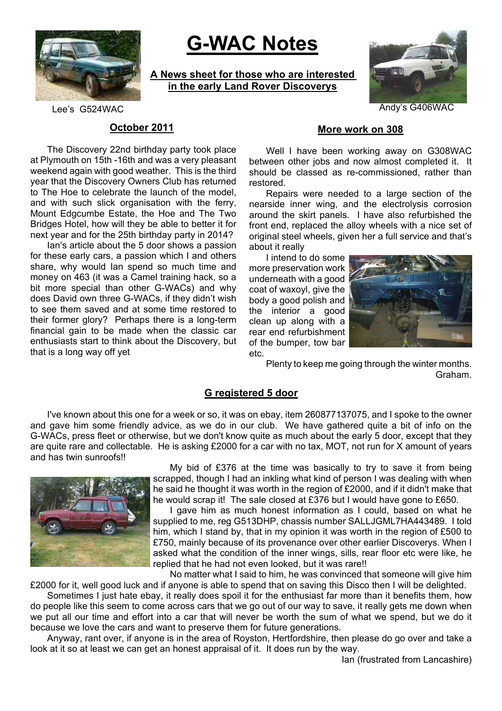

# **G-WAC Notes**

**A News sheet for those who are interested in the early Land Rover Discoverys**



Lee's G524WAC Andy's G406WAC

# **October 2011**

The Discovery 22nd birthday party took place at Plymouth on 15th -16th and was a very pleasant weekend again with good weather. This is the third year that the Discovery Owners Club has returned to The Hoe to celebrate the launch of the model, and with such slick organisation with the ferry, Mount Edgcumbe Estate, the Hoe and The Two Bridges Hotel, how will they be able to better it for next year and for the 25th birthday party in 2014?

Ian's article about the 5 door shows a passion for these early cars, a passion which I and others share, why would Ian spend so much time and money on 463 (it was a Camel training hack, so a bit more special than other G-WACs) and why does David own three G-WACs, if they didn't wish to see them saved and at some time restored to their former glory? Perhaps there is a long-term financial gain to be made when the classic car enthusiasts start to think about the Discovery, but that is a long way off yet

#### **More work on 308**

Well I have been working away on G308WAC between other jobs and now almost completed it. It should be classed as re-commissioned, rather than restored.

Repairs were needed to a large section of the nearside inner wing, and the electrolysis corrosion around the skirt panels. I have also refurbished the front end, replaced the alloy wheels with a nice set of original steel wheels, given her a full service and that's about it really

I intend to do some more preservation work underneath with a good coat of waxoyl, give the body a good polish and the interior a good clean up along with a rear end refurbishment of the bumper, tow bar etc.



Plenty to keep me going through the winter months. Graham.

#### **G registered 5 door**

I've known about this one for a week or so, it was on ebay, item 260877137075, and I spoke to the owner and gave him some friendly advice, as we do in our club. We have gathered quite a bit of info on the G-WACs, press fleet or otherwise, but we don't know quite as much about the early 5 door, except that they are quite rare and collectable. He is asking £2000 for a car with no tax, MOT, not run for X amount of years and has twin sunroofs!!



My bid of £376 at the time was basically to try to save it from being scrapped, though I had an inkling what kind of person I was dealing with when he said he thought it was worth in the region of £2000, and if it didn't make that he would scrap it! The sale closed at £376 but I would have gone to £650.

I gave him as much honest information as I could, based on what he supplied to me, reg G513DHP, chassis number SALLJGML7HA443489. I told him, which I stand by, that in my opinion it was worth in the region of £500 to £750, mainly because of its provenance over other earlier Discoverys. When I asked what the condition of the inner wings, sills, rear floor etc were like, he replied that he had not even looked, but it was rare!!

No matter what I said to him, he was convinced that someone will give him £2000 for it, well good luck and if anyone is able to spend that on saving this Disco then I will be delighted.

Sometimes I just hate ebay, it really does spoil it for the enthusiast far more than it benefits them, how do people like this seem to come across cars that we go out of our way to save, it really gets me down when we put all our time and effort into a car that will never be worth the sum of what we spend, but we do it because we love the cars and want to preserve them for future generations.

Anyway, rant over, if anyone is in the area of Royston, Hertfordshire, then please do go over and take a look at it so at least we can get an honest appraisal of it. It does run by the way.

Ian (frustrated from Lancashire)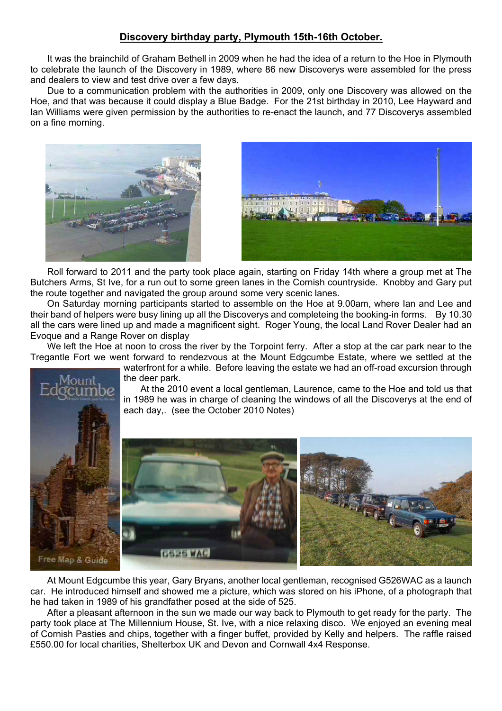# **Discovery birthday party, Plymouth 15th-16th October.**

It was the brainchild of Graham Bethell in 2009 when he had the idea of a return to the Hoe in Plymouth to celebrate the launch of the Discovery in 1989, where 86 new Discoverys were assembled for the press and dealers to view and test drive over a few days.

Due to a communication problem with the authorities in 2009, only one Discovery was allowed on the Hoe, and that was because it could display a Blue Badge. For the 21st birthday in 2010, Lee Hayward and Ian Williams were given permission by the authorities to re-enact the launch, and 77 Discoverys assembled on a fine morning.





Roll forward to 2011 and the party took place again, starting on Friday 14th where a group met at The Butchers Arms, St Ive, for a run out to some green lanes in the Cornish countryside. Knobby and Gary put the route together and navigated the group around some very scenic lanes.

On Saturday morning participants started to assemble on the Hoe at 9.00am, where Ian and Lee and their band of helpers were busy lining up all the Discoverys and completeing the booking-in forms. By 10.30 all the cars were lined up and made a magnificent sight. Roger Young, the local Land Rover Dealer had an Evoque and a Range Rover on display

We left the Hoe at noon to cross the river by the Torpoint ferry. After a stop at the car park near to the Tregantle Fort we went forward to rendezvous at the Mount Edgcumbe Estate, where we settled at the

waterfront for a while. Before leaving the estate we had an off-road excursion through the deer park.

At the 2010 event a local gentleman, Laurence, came to the Hoe and told us that in 1989 he was in charge of cleaning the windows of all the Discoverys at the end of each day,. (see the October 2010 Notes)



At Mount Edgcumbe this year, Gary Bryans, another local gentleman, recognised G526WAC as a launch car. He introduced himself and showed me a picture, which was stored on his iPhone, of a photograph that he had taken in 1989 of his grandfather posed at the side of 525.

After a pleasant afternoon in the sun we made our way back to Plymouth to get ready for the party. The party took place at The Millennium House, St. Ive, with a nice relaxing disco. We enjoyed an evening meal of Cornish Pasties and chips, together with a finger buffet, provided by Kelly and helpers. The raffle raised £550.00 for local charities, Shelterbox UK and Devon and Cornwall 4x4 Response.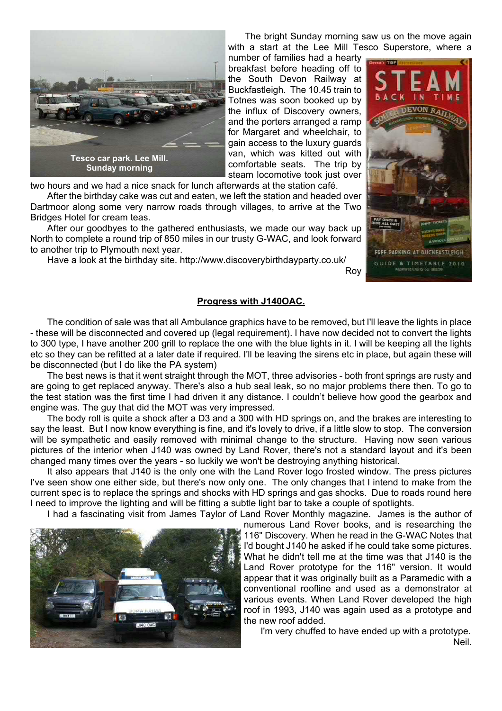

The bright Sunday morning saw us on the move again with a start at the Lee Mill Tesco Superstore, where a

Roy

number of families had a hearty breakfast before heading off to the South Devon Railway at Buckfastleigh. The 10.45 train to Totnes was soon booked up by the influx of Discovery owners, and the porters arranged a ramp for Margaret and wheelchair, to gain access to the luxury guards van, which was kitted out with comfortable seats. The trip by steam locomotive took just over

two hours and we had a nice snack for lunch afterwards at the station café.

After the birthday cake was cut and eaten, we left the station and headed over Dartmoor along some very narrow roads through villages, to arrive at the Two Bridges Hotel for cream teas.

After our goodbyes to the gathered enthusiasts, we made our way back up North to complete a round trip of 850 miles in our trusty G-WAC, and look forward to another trip to Plymouth next year.

Have a look at the birthday site. http://www.discoverybirthdayparty.co.uk/



## **Progress with J140OAC.**

The condition of sale was that all Ambulance graphics have to be removed, but I'll leave the lights in place - these will be disconnected and covered up (legal requirement). I have now decided not to convert the lights to 300 type, I have another 200 grill to replace the one with the blue lights in it. I will be keeping all the lights etc so they can be refitted at a later date if required. I'll be leaving the sirens etc in place, but again these will be disconnected (but I do like the PA system)

The best news is that it went straight through the MOT, three advisories - both front springs are rusty and are going to get replaced anyway. There's also a hub seal leak, so no major problems there then. To go to the test station was the first time I had driven it any distance. I couldn't believe how good the gearbox and engine was. The guy that did the MOT was very impressed.

The body roll is quite a shock after a D3 and a 300 with HD springs on, and the brakes are interesting to say the least. But I now know everything is fine, and it's lovely to drive, if a little slow to stop. The conversion will be sympathetic and easily removed with minimal change to the structure. Having now seen various pictures of the interior when J140 was owned by Land Rover, there's not a standard layout and it's been changed many times over the years - so luckily we won't be destroying anything historical.

It also appears that J140 is the only one with the Land Rover logo frosted window. The press pictures I've seen show one either side, but there's now only one. The only changes that I intend to make from the current spec is to replace the springs and shocks with HD springs and gas shocks. Due to roads round here I need to improve the lighting and will be fitting a subtle light bar to take a couple of spotlights.

I had a fascinating visit from James Taylor of Land Rover Monthly magazine. James is the author of

numerous Land Rover books, and is researching the 116" Discovery. When he read in the G-WAC Notes that I'd bought J140 he asked if he could take some pictures. What he didn't tell me at the time was that J140 is the Land Rover prototype for the 116" version. It would appear that it was originally built as a Paramedic with a conventional roofline and used as a demonstrator at various events. When Land Rover developed the high roof in 1993, J140 was again used as a prototype and the new roof added.

I'm very chuffed to have ended up with a prototype. Neil.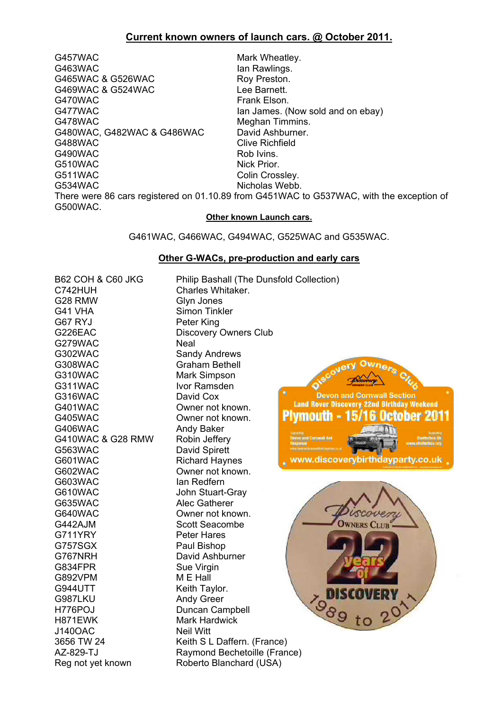# **Current known owners of launch cars. @ October 2011.**

G457WAC Mark Wheatley. G463WAC lan Rawlings.<br>
G465WAC & G526WAC lan Roy Preston. G465WAC & G526WAC G469WAC & G524WAC Lee Barnett. G470WAC Frank Elson. G477WAC Ian James. (Now sold and on ebay) G478WAC<br>
G480WAC. G482WAC & G486WAC David Ashburner. G480WAC, G482WAC & G486WAC G488WAC Clive Richfield G490WAC Rob Ivins. G510WAC Nick Prior. G511WAC Colin Crossley. G534WAC Nicholas Webb. There were 86 cars registered on 01.10.89 from G451WAC to G537WAC, with the exception of G500WAC.

#### **Other known Launch cars.**

G461WAC, G466WAC, G494WAC, G525WAC and G535WAC.

#### **Other G-WACs, pre-production and early cars**

| <b>B62 COH &amp; C60 JKG</b> | Philip Bashall (The Dunsfold Collection)                              |  |
|------------------------------|-----------------------------------------------------------------------|--|
| C742HUH                      | Charles Whitaker.                                                     |  |
| G28 RMW                      | Glyn Jones                                                            |  |
| G41 VHA                      | Simon Tinkler                                                         |  |
| G67 RYJ                      | Peter King                                                            |  |
| G226EAC                      | <b>Discovery Owners Club</b>                                          |  |
| G279WAC                      | <b>Neal</b>                                                           |  |
| G302WAC                      | <b>Sandy Andrews</b>                                                  |  |
| <b>G308WAC</b>               | <b>Graham Bethell</b>                                                 |  |
| G310WAC                      | owners Cf.<br><b>Mark Simpson</b>                                     |  |
| G311WAC                      | Ivor Ramsden                                                          |  |
| G316WAC                      | <b>Devon and Cornwall Section</b><br>David Cox                        |  |
| G401WAC                      | <b>Land Rover Discovery 22nd Birthday Weekend</b><br>Owner not known. |  |
| <b>G405WAC</b>               | <b>Plymouth - 15/16 October 2011</b><br>Owner not known.              |  |
| G406WAC                      | Andy Baker                                                            |  |
| G410WAC & G28 RMW            | Robin Jeffery<br>evon and Cornwall 4x4                                |  |
| G563WAC                      | David Spirett                                                         |  |
| G601WAC                      | www.discoverybirthdayparty.co.uk<br><b>Richard Haynes</b>             |  |
| G602WAC                      | Owner not known.                                                      |  |
| G603WAC                      | Ian Redfern                                                           |  |
| G610WAC                      | John Stuart-Gray                                                      |  |
| <b>G635WAC</b>               | Alec Gatherer                                                         |  |
| G640WAC                      | Owner not known.                                                      |  |
| G442AJM                      | <b>Scott Seacombe</b><br><b>OWNERS CLUB</b>                           |  |
| G711YRY                      | <b>Peter Hares</b>                                                    |  |
| G757SGX                      | Paul Bishop                                                           |  |
| G767NRH                      | David Ashburner                                                       |  |
| G834FPR                      | Sue Virgin                                                            |  |
| G892VPM                      | M E Hall                                                              |  |
| <b>G944UTT</b>               | Keith Taylor.<br>DISCOVERY                                            |  |
| G987LKU                      | 798910<br><b>Andy Greer</b>                                           |  |
| H776POJ                      | Duncan Campbell                                                       |  |
| H871EWK                      | <b>Mark Hardwick</b>                                                  |  |
| <b>J140OAC</b>               | <b>Neil Witt</b>                                                      |  |
| 3656 TW 24                   | Keith S L Daffern. (France)                                           |  |
| AZ-829-TJ                    | Raymond Bechetoille (France)                                          |  |
| Reg not yet known            | Roberto Blanchard (USA)                                               |  |